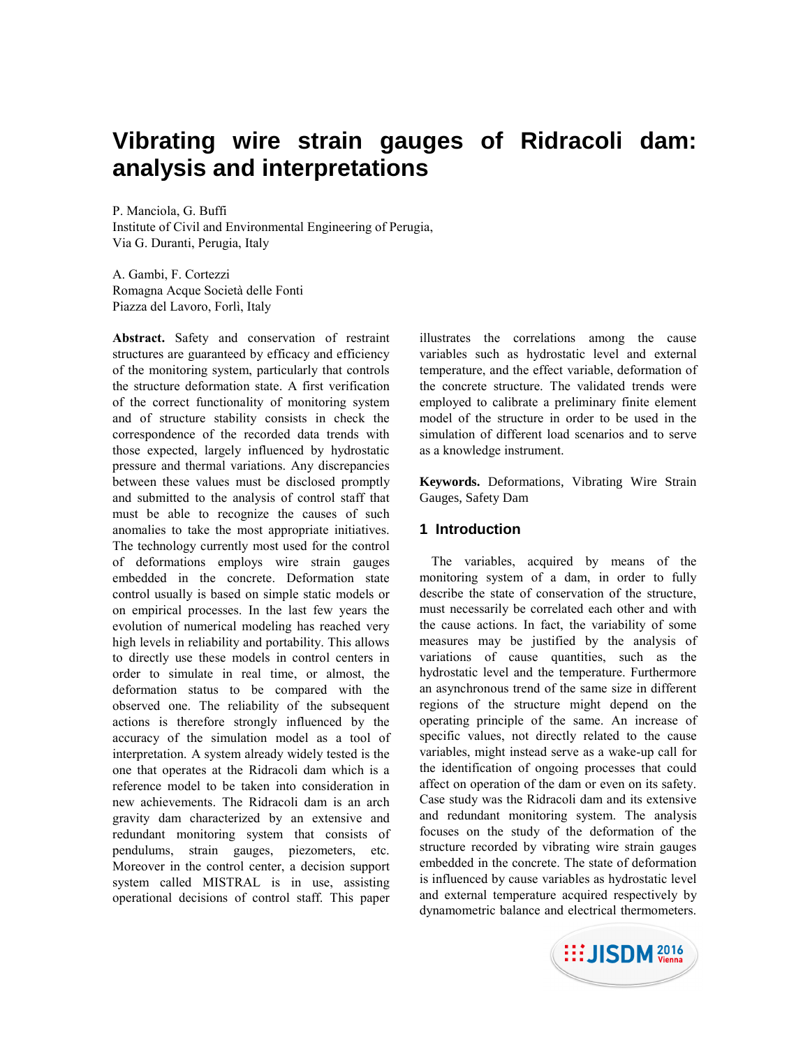# **Vibrating wire strain gauges of Ridracoli dam: analysis and interpretations**

P. Manciola, G. Buffi Institute of Civil and Environmental Engineering of Perugia, Via G. Duranti, Perugia, Italy

A. Gambi, F. Cortezzi Romagna Acque Società delle Fonti Piazza del Lavoro, Forlì, Italy

**Abstract.** Safety and conservation of restraint structures are guaranteed by efficacy and efficiency of the monitoring system, particularly that controls the structure deformation state. A first verification of the correct functionality of monitoring system and of structure stability consists in check the correspondence of the recorded data trends with those expected, largely influenced by hydrostatic pressure and thermal variations. Any discrepancies between these values must be disclosed promptly and submitted to the analysis of control staff that must be able to recognize the causes of such anomalies to take the most appropriate initiatives. The technology currently most used for the control of deformations employs wire strain gauges embedded in the concrete. Deformation state control usually is based on simple static models or on empirical processes. In the last few years the evolution of numerical modeling has reached very high levels in reliability and portability. This allows to directly use these models in control centers in order to simulate in real time, or almost, the deformation status to be compared with the observed one. The reliability of the subsequent actions is therefore strongly influenced by the accuracy of the simulation model as a tool of interpretation. A system already widely tested is the one that operates at the Ridracoli dam which is a reference model to be taken into consideration in new achievements. The Ridracoli dam is an arch gravity dam characterized by an extensive and redundant monitoring system that consists of pendulums, strain gauges, piezometers, etc. Moreover in the control center, a decision support system called MISTRAL is in use, assisting operational decisions of control staff. This paper

illustrates the correlations among the cause variables such as hydrostatic level and external temperature, and the effect variable, deformation of the concrete structure. The validated trends were employed to calibrate a preliminary finite element model of the structure in order to be used in the simulation of different load scenarios and to serve as a knowledge instrument.

**Keywords.** Deformations, Vibrating Wire Strain Gauges, Safety Dam

## **1 Introduction**

The variables, acquired by means of the monitoring system of a dam, in order to fully describe the state of conservation of the structure, must necessarily be correlated each other and with the cause actions. In fact, the variability of some measures may be justified by the analysis of variations of cause quantities, such as the hydrostatic level and the temperature. Furthermore an asynchronous trend of the same size in different regions of the structure might depend on the operating principle of the same. An increase of specific values, not directly related to the cause variables, might instead serve as a wake-up call for the identification of ongoing processes that could affect on operation of the dam or even on its safety. Case study was the Ridracoli dam and its extensive and redundant monitoring system. The analysis focuses on the study of the deformation of the structure recorded by vibrating wire strain gauges embedded in the concrete. The state of deformation is influenced by cause variables as hydrostatic level and external temperature acquired respectively by dynamometric balance and electrical thermometers.

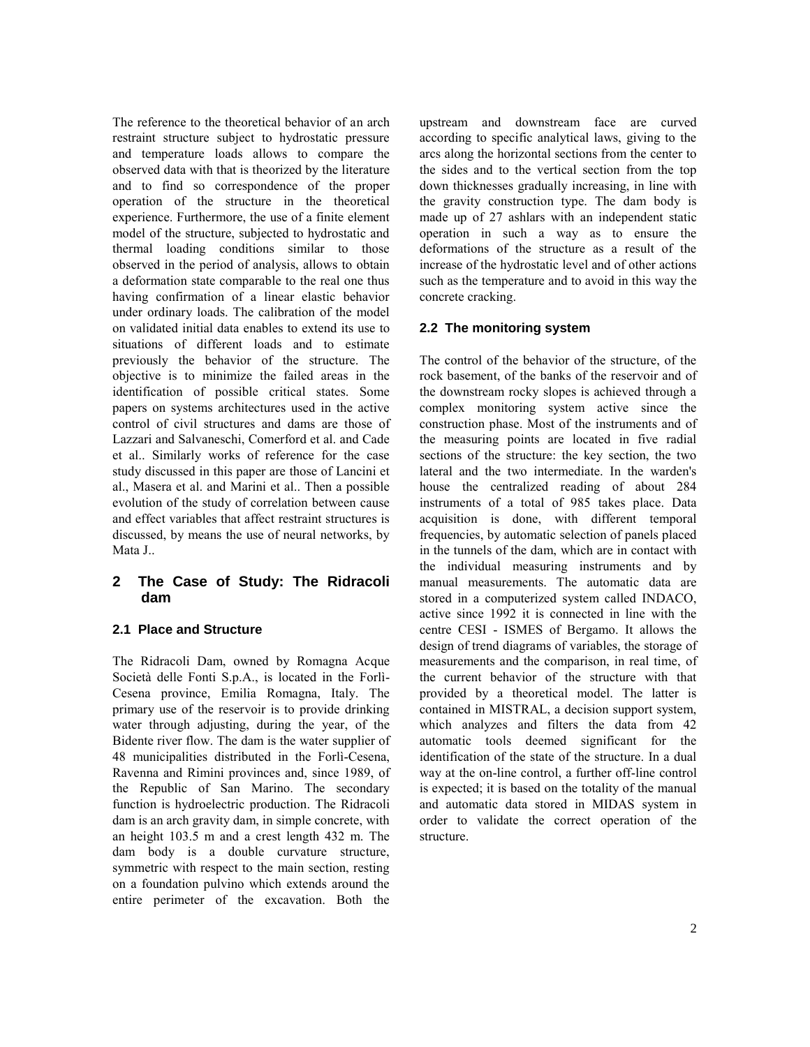The reference to the theoretical behavior of an arch restraint structure subject to hydrostatic pressure and temperature loads allows to compare the observed data with that is theorized by the literature and to find so correspondence of the proper operation of the structure in the theoretical experience. Furthermore, the use of a finite element model of the structure, subjected to hydrostatic and thermal loading conditions similar to those observed in the period of analysis, allows to obtain a deformation state comparable to the real one thus having confirmation of a linear elastic behavior under ordinary loads. The calibration of the model on validated initial data enables to extend its use to situations of different loads and to estimate previously the behavior of the structure. The objective is to minimize the failed areas in the identification of possible critical states. Some papers on systems architectures used in the active control of civil structures and dams are those of Lazzari and Salvaneschi, Comerford et al. and Cade et al.. Similarly works of reference for the case study discussed in this paper are those of Lancini et al., Masera et al. and Marini et al.. Then a possible evolution of the study of correlation between cause and effect variables that affect restraint structures is discussed, by means the use of neural networks, by Mata J..

# **2 The Case of Study: The Ridracoli dam**

## **2.1 Place and Structure**

The Ridracoli Dam, owned by Romagna Acque Società delle Fonti S.p.A., is located in the Forlì-Cesena province, Emilia Romagna, Italy. The primary use of the reservoir is to provide drinking water through adjusting, during the year, of the Bidente river flow. The dam is the water supplier of 48 municipalities distributed in the Forlì-Cesena, Ravenna and Rimini provinces and, since 1989, of the Republic of San Marino. The secondary function is hydroelectric production. The Ridracoli dam is an arch gravity dam, in simple concrete, with an height 103.5 m and a crest length 432 m. The dam body is a double curvature structure, symmetric with respect to the main section, resting on a foundation pulvino which extends around the entire perimeter of the excavation. Both the

upstream and downstream face are curved according to specific analytical laws, giving to the arcs along the horizontal sections from the center to the sides and to the vertical section from the top down thicknesses gradually increasing, in line with the gravity construction type. The dam body is made up of 27 ashlars with an independent static operation in such a way as to ensure the deformations of the structure as a result of the increase of the hydrostatic level and of other actions such as the temperature and to avoid in this way the concrete cracking.

# **2.2 The monitoring system**

The control of the behavior of the structure, of the rock basement, of the banks of the reservoir and of the downstream rocky slopes is achieved through a complex monitoring system active since the construction phase. Most of the instruments and of the measuring points are located in five radial sections of the structure: the key section, the two lateral and the two intermediate. In the warden's house the centralized reading of about 284 instruments of a total of 985 takes place. Data acquisition is done, with different temporal frequencies, by automatic selection of panels placed in the tunnels of the dam, which are in contact with the individual measuring instruments and by manual measurements. The automatic data are stored in a computerized system called INDACO, active since 1992 it is connected in line with the centre CESI - ISMES of Bergamo. It allows the design of trend diagrams of variables, the storage of measurements and the comparison, in real time, of the current behavior of the structure with that provided by a theoretical model. The latter is contained in MISTRAL, a decision support system, which analyzes and filters the data from 42 automatic tools deemed significant for the identification of the state of the structure. In a dual way at the on-line control, a further off-line control is expected; it is based on the totality of the manual and automatic data stored in MIDAS system in order to validate the correct operation of the structure.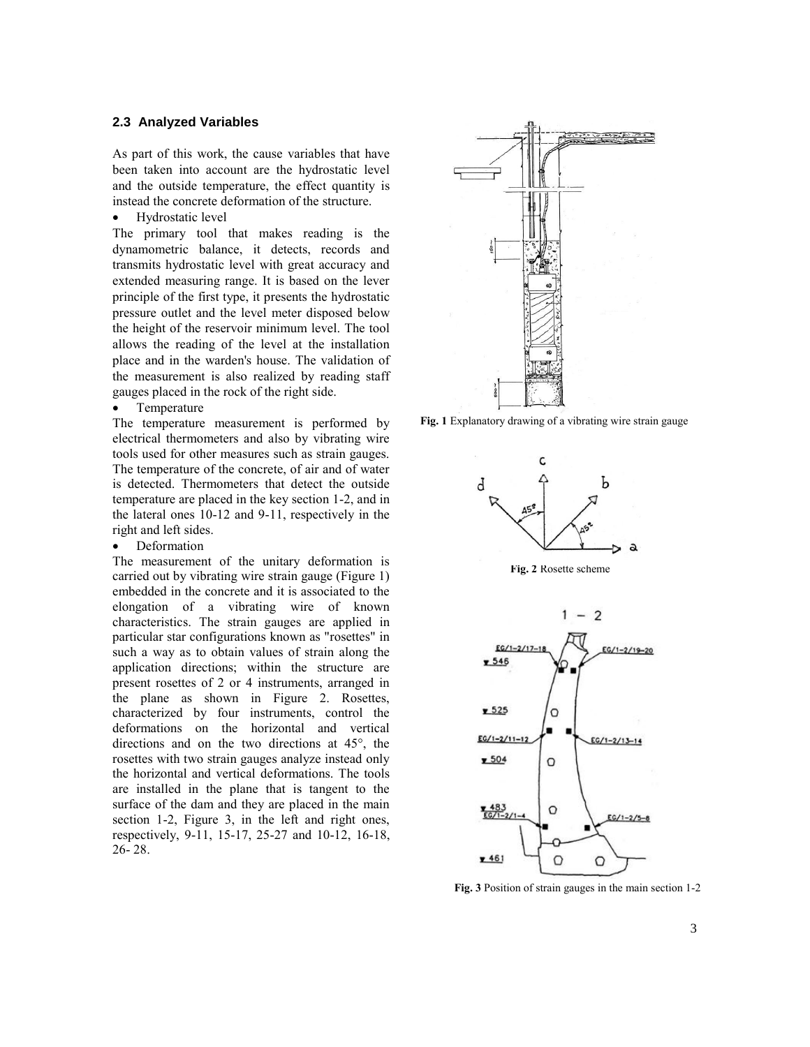#### **2.3 Analyzed Variables**

As part of this work, the cause variables that have been taken into account are the hydrostatic level and the outside temperature, the effect quantity is instead the concrete deformation of the structure.

• Hydrostatic level

The primary tool that makes reading is the dynamometric balance, it detects, records and transmits hydrostatic level with great accuracy and extended measuring range. It is based on the lever principle of the first type, it presents the hydrostatic pressure outlet and the level meter disposed below the height of the reservoir minimum level. The tool allows the reading of the level at the installation place and in the warden's house. The validation of the measurement is also realized by reading staff gauges placed in the rock of the right side.

• Temperature

The temperature measurement is performed by electrical thermometers and also by vibrating wire tools used for other measures such as strain gauges. The temperature of the concrete, of air and of water is detected. Thermometers that detect the outside temperature are placed in the key section 1-2, and in the lateral ones 10-12 and 9-11, respectively in the right and left sides.

• Deformation

The measurement of the unitary deformation is carried out by vibrating wire strain gauge (Figure 1) embedded in the concrete and it is associated to the elongation of a vibrating wire of known characteristics. The strain gauges are applied in particular star configurations known as "rosettes" in such a way as to obtain values of strain along the application directions; within the structure are present rosettes of 2 or 4 instruments, arranged in the plane as shown in Figure 2. Rosettes, characterized by four instruments, control the deformations on the horizontal and vertical directions and on the two directions at 45°, the rosettes with two strain gauges analyze instead only the horizontal and vertical deformations. The tools are installed in the plane that is tangent to the surface of the dam and they are placed in the main section 1-2, Figure 3, in the left and right ones, respectively, 9-11, 15-17, 25-27 and 10-12, 16-18, 26- 28.



**Fig. 1** Explanatory drawing of a vibrating wire strain gauge



**Fig. 3** Position of strain gauges in the main section 1-2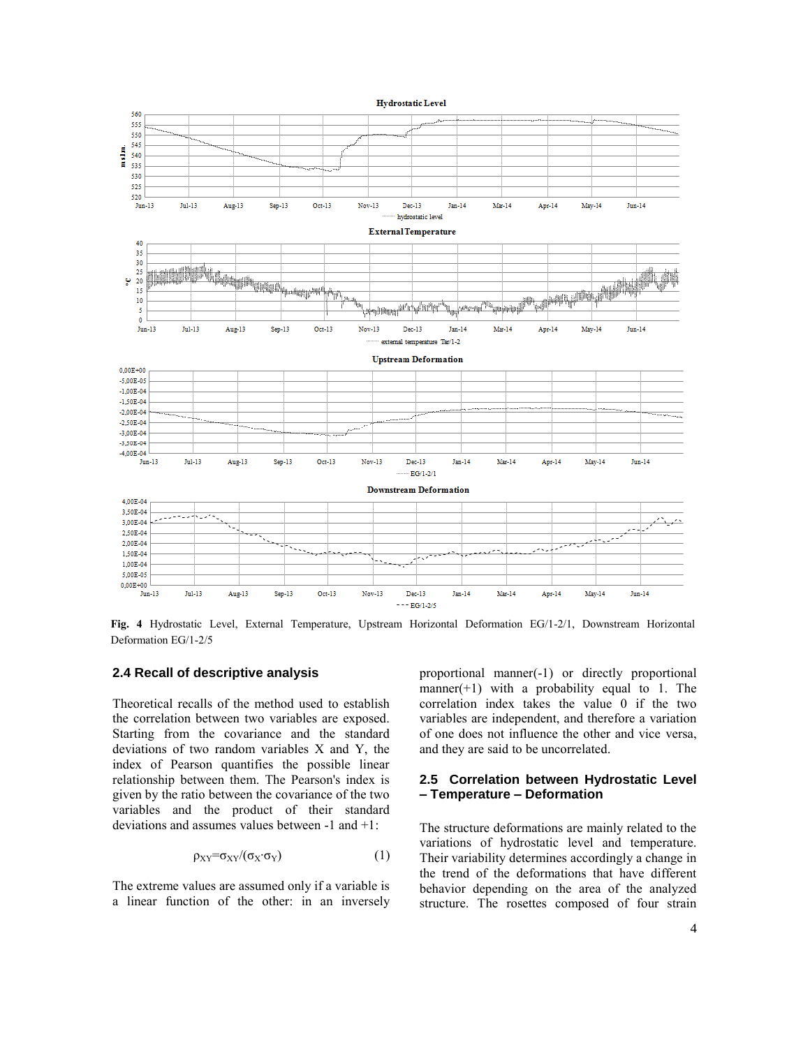

**Fig. 4** Hydrostatic Level, External Temperature, Upstream Horizontal Deformation EG/1-2/1, Downstream Horizontal Deformation EG/1-2/5

## **2.4 Recall of descriptive analysis**

Theoretical recalls of the method used to establish the correlation between two variables are exposed. Starting from the covariance and the standard deviations of two random variables X and Y, the index of Pearson quantifies the possible linear relationship between them. The Pearson's index is given by the ratio between the covariance of the two variables and the product of their standard deviations and assumes values between -1 and +1:

$$
\rho_{XY} = \sigma_{XY} / (\sigma_X \cdot \sigma_Y) \tag{1}
$$

The extreme values are assumed only if a variable is a linear function of the other: in an inversely proportional manner(-1) or directly proportional manner(+1) with a probability equal to 1. The correlation index takes the value 0 if the two variables are independent, and therefore a variation of one does not influence the other and vice versa, and they are said to be uncorrelated.

#### **2.5 Correlation between Hydrostatic Level – Temperature – Deformation**

The structure deformations are mainly related to the variations of hydrostatic level and temperature. Their variability determines accordingly a change in the trend of the deformations that have different behavior depending on the area of the analyzed structure. The rosettes composed of four strain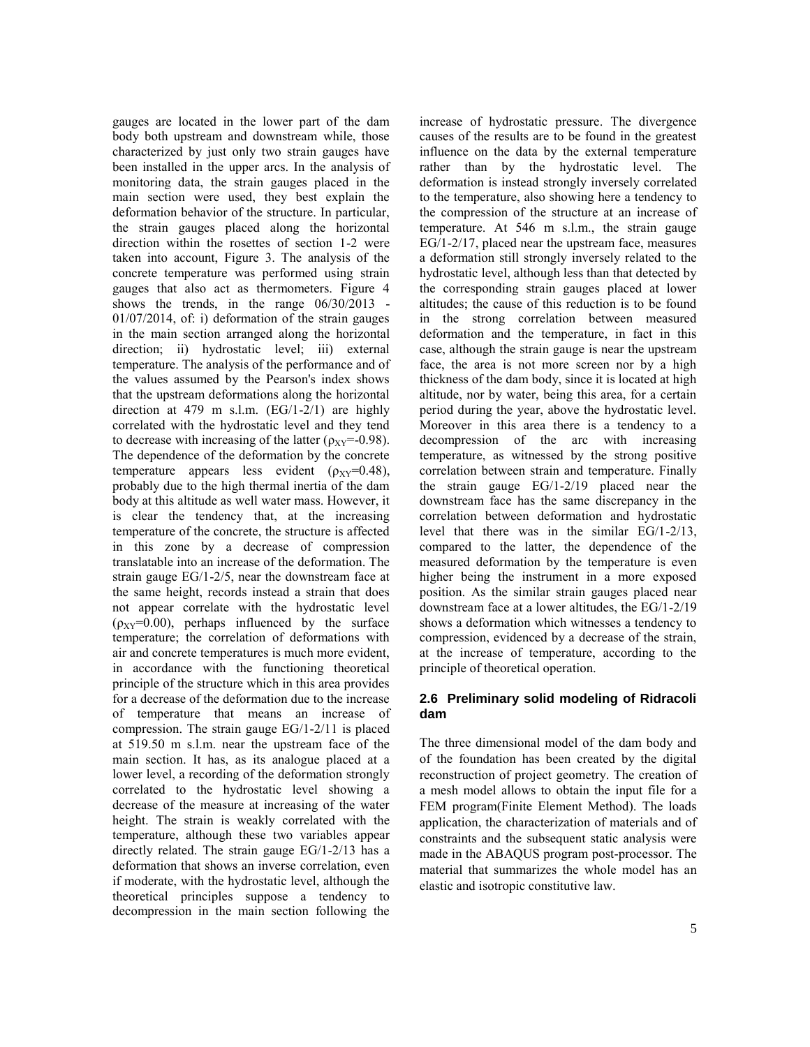gauges are located in the lower part of the dam body both upstream and downstream while, those characterized by just only two strain gauges have been installed in the upper arcs. In the analysis of monitoring data, the strain gauges placed in the main section were used, they best explain the deformation behavior of the structure. In particular, the strain gauges placed along the horizontal direction within the rosettes of section 1-2 were taken into account, Figure 3. The analysis of the concrete temperature was performed using strain gauges that also act as thermometers. Figure 4 shows the trends, in the range 06/30/2013 - 01/07/2014, of: i) deformation of the strain gauges in the main section arranged along the horizontal direction; ii) hydrostatic level; iii) external temperature. The analysis of the performance and of the values assumed by the Pearson's index shows that the upstream deformations along the horizontal direction at 479 m s.l.m. (EG/1-2/1) are highly correlated with the hydrostatic level and they tend to decrease with increasing of the latter ( $\rho_{XY}$ =-0.98). The dependence of the deformation by the concrete temperature appears less evident  $(\rho_{XY}=0.48)$ , probably due to the high thermal inertia of the dam body at this altitude as well water mass. However, it is clear the tendency that, at the increasing temperature of the concrete, the structure is affected in this zone by a decrease of compression translatable into an increase of the deformation. The strain gauge EG/1-2/5, near the downstream face at the same height, records instead a strain that does not appear correlate with the hydrostatic level  $(\rho_{XY}=0.00)$ , perhaps influenced by the surface temperature; the correlation of deformations with air and concrete temperatures is much more evident, in accordance with the functioning theoretical principle of the structure which in this area provides for a decrease of the deformation due to the increase of temperature that means an increase of compression. The strain gauge EG/1-2/11 is placed at 519.50 m s.l.m. near the upstream face of the main section. It has, as its analogue placed at a lower level, a recording of the deformation strongly correlated to the hydrostatic level showing a decrease of the measure at increasing of the water height. The strain is weakly correlated with the temperature, although these two variables appear directly related. The strain gauge EG/1-2/13 has a deformation that shows an inverse correlation, even if moderate, with the hydrostatic level, although the theoretical principles suppose a tendency to decompression in the main section following the

increase of hydrostatic pressure. The divergence causes of the results are to be found in the greatest influence on the data by the external temperature rather than by the hydrostatic level. The deformation is instead strongly inversely correlated to the temperature, also showing here a tendency to the compression of the structure at an increase of temperature. At 546 m s.l.m., the strain gauge EG/1-2/17, placed near the upstream face, measures a deformation still strongly inversely related to the hydrostatic level, although less than that detected by the corresponding strain gauges placed at lower altitudes; the cause of this reduction is to be found in the strong correlation between measured deformation and the temperature, in fact in this case, although the strain gauge is near the upstream face, the area is not more screen nor by a high thickness of the dam body, since it is located at high altitude, nor by water, being this area, for a certain period during the year, above the hydrostatic level. Moreover in this area there is a tendency to a decompression of the arc with increasing temperature, as witnessed by the strong positive correlation between strain and temperature. Finally the strain gauge EG/1-2/19 placed near the downstream face has the same discrepancy in the correlation between deformation and hydrostatic level that there was in the similar EG/1-2/13, compared to the latter, the dependence of the measured deformation by the temperature is even higher being the instrument in a more exposed position. As the similar strain gauges placed near downstream face at a lower altitudes, the EG/1-2/19 shows a deformation which witnesses a tendency to compression, evidenced by a decrease of the strain, at the increase of temperature, according to the principle of theoretical operation.

#### **2.6 Preliminary solid modeling of Ridracoli dam**

The three dimensional model of the dam body and of the foundation has been created by the digital reconstruction of project geometry. The creation of a mesh model allows to obtain the input file for a FEM program(Finite Element Method). The loads application, the characterization of materials and of constraints and the subsequent static analysis were made in the ABAQUS program post-processor. The material that summarizes the whole model has an elastic and isotropic constitutive law.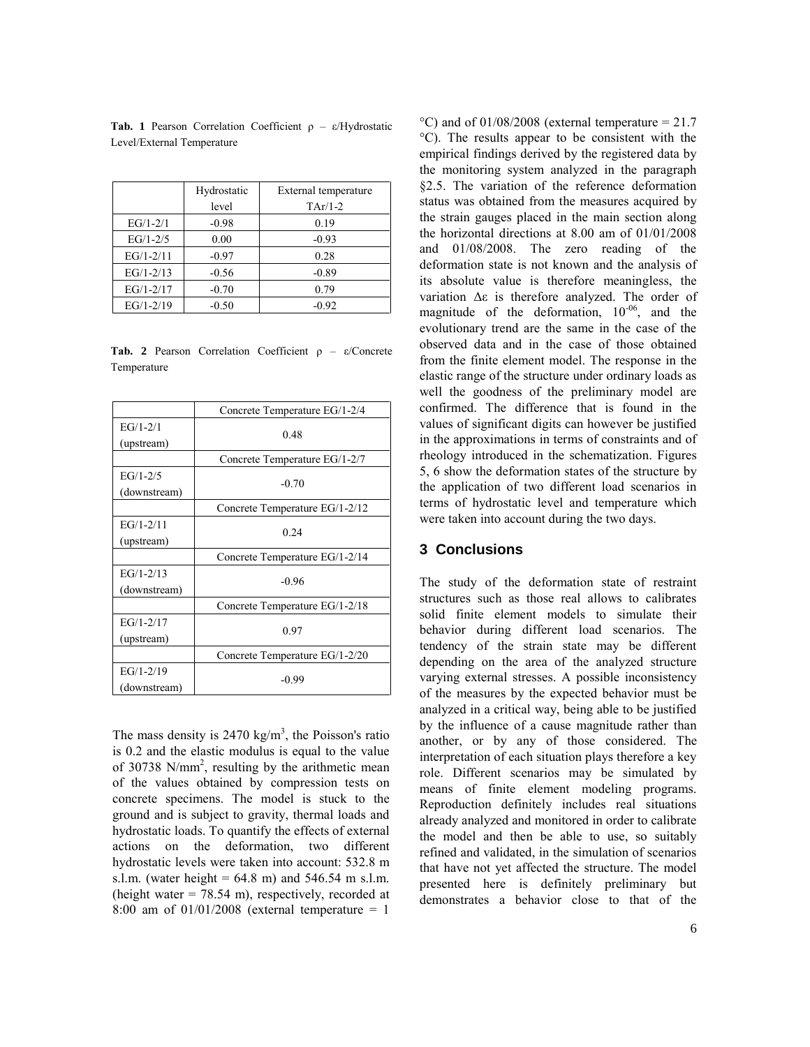|               | Hydrostatic | External temperature |
|---------------|-------------|----------------------|
|               | level       | $TAr/1-2$            |
| $EG/1 - 2/1$  | $-0.98$     | 0.19                 |
| $EG/1 - 2/5$  | 0.00        | $-0.93$              |
| $EG/1 - 2/11$ | $-0.97$     | 0.28                 |
| $EG/1 - 2/13$ | $-0.56$     | $-0.89$              |
| $EG/1 - 2/17$ | $-0.70$     | 0.79                 |
| $EG/1 - 2/19$ | $-0.50$     | $-0.92$              |

**Tab. 1** Pearson Correlation Coefficient ρ – ε/Hydrostatic Level/External Temperature

**Tab. 2** Pearson Correlation Coefficient ρ – ε/Concrete Temperature

|                               | Concrete Temperature EG/1-2/4  |  |
|-------------------------------|--------------------------------|--|
| $EG/1 - 2/1$<br>(upstream)    | 0.48                           |  |
|                               | Concrete Temperature EG/1-2/7  |  |
| $EG/1 - 2/5$<br>(downstream)  | $-0.70$                        |  |
|                               | Concrete Temperature EG/1-2/12 |  |
| $EG/1 - 2/11$<br>(upstream)   | 0.24                           |  |
|                               | Concrete Temperature EG/1-2/14 |  |
| $EG/1 - 2/13$<br>(downstream) | $-0.96$                        |  |
|                               | Concrete Temperature EG/1-2/18 |  |
| $EG/1-2/17$<br>(upstream)     | 0.97                           |  |
|                               | Concrete Temperature EG/1-2/20 |  |
| $EG/1 - 2/19$<br>(downstream) | $-0.99$                        |  |

The mass density is  $2470 \text{ kg/m}^3$ , the Poisson's ratio is 0.2 and the elastic modulus is equal to the value of 30738  $N/mm^2$ , resulting by the arithmetic mean of the values obtained by compression tests on concrete specimens. The model is stuck to the ground and is subject to gravity, thermal loads and hydrostatic loads. To quantify the effects of external actions on the deformation, two different hydrostatic levels were taken into account: 532.8 m s.l.m. (water height =  $64.8$  m) and  $546.54$  m s.l.m. (height water  $= 78.54$  m), respectively, recorded at 8:00 am of 01/01/2008 (external temperature = 1

°C) and of 01/08/2008 (external temperature =  $21.7$ °C). The results appear to be consistent with the empirical findings derived by the registered data by the monitoring system analyzed in the paragraph §2.5. The variation of the reference deformation status was obtained from the measures acquired by the strain gauges placed in the main section along the horizontal directions at 8.00 am of 01/01/2008 and 01/08/2008. The zero reading of the deformation state is not known and the analysis of its absolute value is therefore meaningless, the variation Δε is therefore analyzed. The order of magnitude of the deformation,  $10^{-06}$ , and the evolutionary trend are the same in the case of the observed data and in the case of those obtained from the finite element model. The response in the elastic range of the structure under ordinary loads as well the goodness of the preliminary model are confirmed. The difference that is found in the values of significant digits can however be justified in the approximations in terms of constraints and of rheology introduced in the schematization. Figures 5, 6 show the deformation states of the structure by the application of two different load scenarios in terms of hydrostatic level and temperature which were taken into account during the two days.

#### **3 Conclusions**

The study of the deformation state of restraint structures such as those real allows to calibrates solid finite element models to simulate their behavior during different load scenarios. The tendency of the strain state may be different depending on the area of the analyzed structure varying external stresses. A possible inconsistency of the measures by the expected behavior must be analyzed in a critical way, being able to be justified by the influence of a cause magnitude rather than another, or by any of those considered. The interpretation of each situation plays therefore a key role. Different scenarios may be simulated by means of finite element modeling programs. Reproduction definitely includes real situations already analyzed and monitored in order to calibrate the model and then be able to use, so suitably refined and validated, in the simulation of scenarios that have not yet affected the structure. The model presented here is definitely preliminary but demonstrates a behavior close to that of the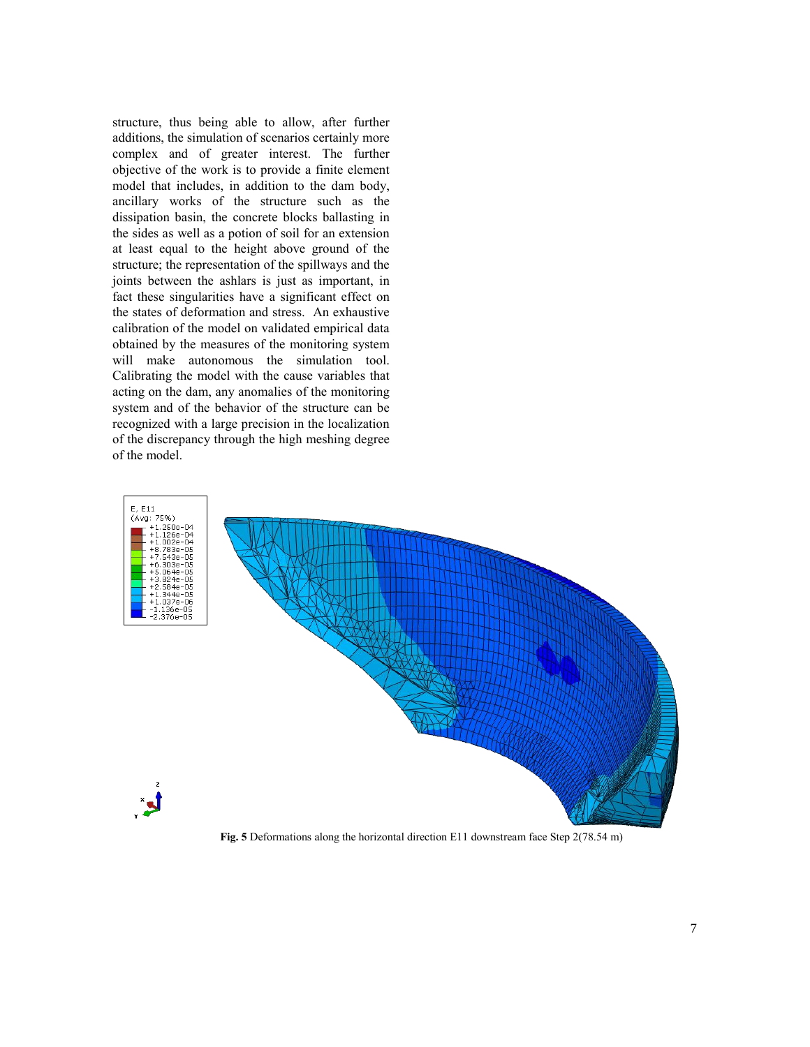structure, thus being able to allow, after further additions, the simulation of scenarios certainly more complex and of greater interest. The further objective of the work is to provide a finite element model that includes, in addition to the dam body, ancillary works of the structure such as the dissipation basin, the concrete blocks ballasting in the sides as well as a potion of soil for an extension at least equal to the height above ground of the structure; the representation of the spillways and the joints between the ashlars is just as important, in fact these singularities have a significant effect on the states of deformation and stress. An exhaustive calibration of the model on validated empirical data obtained by the measures of the monitoring system will make autonomous the simulation tool. Calibrating the model with the cause variables that acting on the dam, any anomalies of the monitoring system and of the behavior of the structure can be recognized with a large precision in the localization of the discrepancy through the high meshing degree of the model.



**Fig. 5** Deformations along the horizontal direction E11 downstream face Step 2(78.54 m)